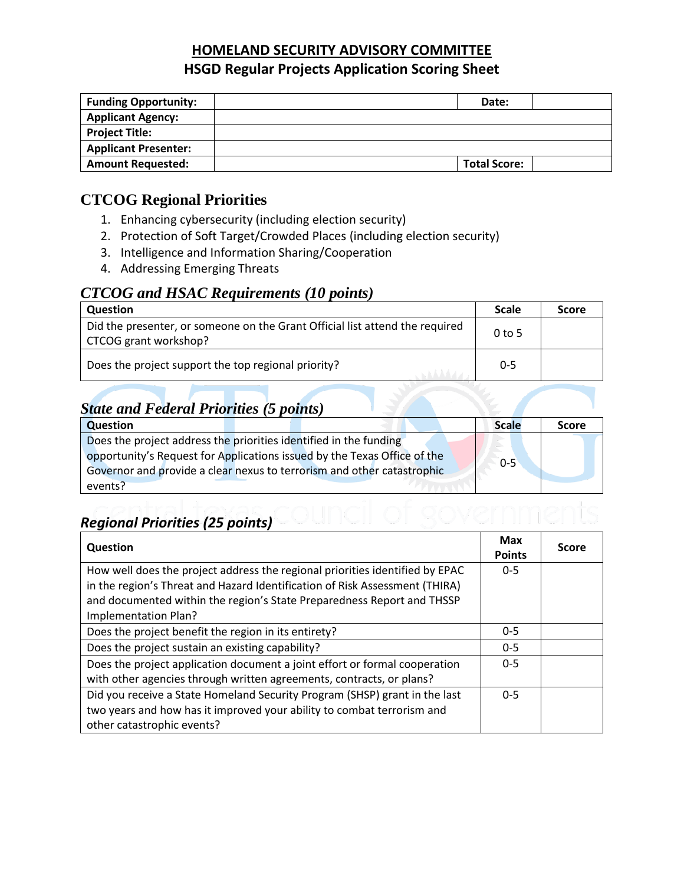### **HOMELAND SECURITY ADVISORY COMMITTEE HSGD Regular Projects Application Scoring Sheet**

| <b>Funding Opportunity:</b> | Date:               |  |
|-----------------------------|---------------------|--|
| <b>Applicant Agency:</b>    |                     |  |
| <b>Project Title:</b>       |                     |  |
| <b>Applicant Presenter:</b> |                     |  |
| <b>Amount Requested:</b>    | <b>Total Score:</b> |  |

### **CTCOG Regional Priorities**

- 1. Enhancing cybersecurity (including election security)
- 2. Protection of Soft Target/Crowded Places (including election security)
- 3. Intelligence and Information Sharing/Cooperation
- 4. Addressing Emerging Threats

#### *CTCOG and HSAC Requirements (10 points)*

| <b>Question</b>                                                                                       | <b>Scale</b> | <b>Score</b> |
|-------------------------------------------------------------------------------------------------------|--------------|--------------|
| Did the presenter, or someone on the Grant Official list attend the required<br>CTCOG grant workshop? | $0$ to 5     |              |
| Does the project support the top regional priority?                                                   | $0 - 5$      |              |

# *State and Federal Priorities (5 points)*

| <b>Question</b>                                                          | <b>Scale</b> | <b>Score</b> |
|--------------------------------------------------------------------------|--------------|--------------|
| Does the project address the priorities identified in the funding        |              |              |
| opportunity's Request for Applications issued by the Texas Office of the | $0 - 5$      |              |
| Governor and provide a clear nexus to terrorism and other catastrophic   |              |              |
| events?                                                                  |              |              |

# *Regional Priorities (25 points)*

| Question                                                                     |         | <b>Score</b> |
|------------------------------------------------------------------------------|---------|--------------|
|                                                                              |         |              |
| How well does the project address the regional priorities identified by EPAC | $0 - 5$ |              |
| in the region's Threat and Hazard Identification of Risk Assessment (THIRA)  |         |              |
| and documented within the region's State Preparedness Report and THSSP       |         |              |
| Implementation Plan?                                                         |         |              |
| Does the project benefit the region in its entirety?                         | $0 - 5$ |              |
| Does the project sustain an existing capability?                             | $0 - 5$ |              |
| Does the project application document a joint effort or formal cooperation   |         |              |
| with other agencies through written agreements, contracts, or plans?         |         |              |
| Did you receive a State Homeland Security Program (SHSP) grant in the last   |         |              |
| two years and how has it improved your ability to combat terrorism and       |         |              |
| other catastrophic events?                                                   |         |              |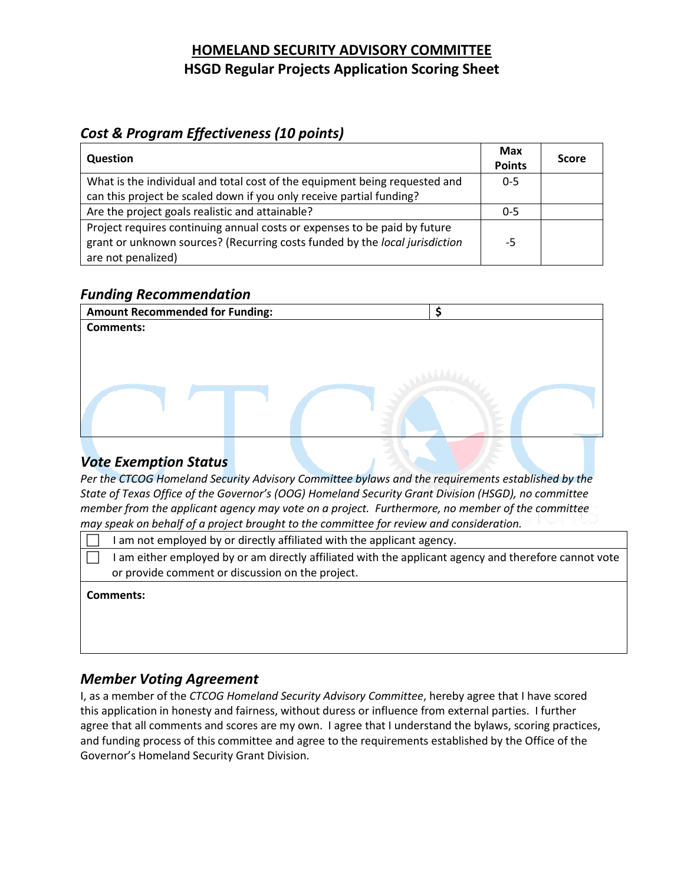## **HOMELAND SECURITY ADVISORY COMMITTEE HSGD Regular Projects Application Scoring Sheet**

## *Cost & Program Effectiveness (10 points)*

| <b>Question</b>                                                                                                                                                                | <b>Max</b><br><b>Points</b> | <b>Score</b> |
|--------------------------------------------------------------------------------------------------------------------------------------------------------------------------------|-----------------------------|--------------|
| What is the individual and total cost of the equipment being requested and                                                                                                     | $0 - 5$                     |              |
| can this project be scaled down if you only receive partial funding?                                                                                                           |                             |              |
| Are the project goals realistic and attainable?                                                                                                                                | $0 - 5$                     |              |
| Project requires continuing annual costs or expenses to be paid by future<br>grant or unknown sources? (Recurring costs funded by the local jurisdiction<br>are not penalized) | -5                          |              |

#### *Funding Recommendation*

| <b>Amount Recommended for Funding:</b> |  |
|----------------------------------------|--|
| <b>Comments:</b>                       |  |
|                                        |  |
|                                        |  |
|                                        |  |
|                                        |  |
|                                        |  |
|                                        |  |
|                                        |  |

#### *Vote Exemption Status*

*Per the CTCOG Homeland Security Advisory Committee bylaws and the requirements established by the State of Texas Office of the Governor's (OOG) Homeland Security Grant Division (HSGD), no committee member from the applicant agency may vote on a project. Furthermore, no member of the committee may speak on behalf of a project brought to the committee for review and consideration.*

| am not employed by or directly affiliated with the applicant agency.                                |
|-----------------------------------------------------------------------------------------------------|
| am either employed by or am directly affiliated with the applicant agency and therefore cannot vote |
| or provide comment or discussion on the project.                                                    |
| Comments:                                                                                           |

#### *Member Voting Agreement*

I, as a member of the *CTCOG Homeland Security Advisory Committee*, hereby agree that I have scored this application in honesty and fairness, without duress or influence from external parties. I further agree that all comments and scores are my own. I agree that I understand the bylaws, scoring practices, and funding process of this committee and agree to the requirements established by the Office of the Governor's Homeland Security Grant Division.